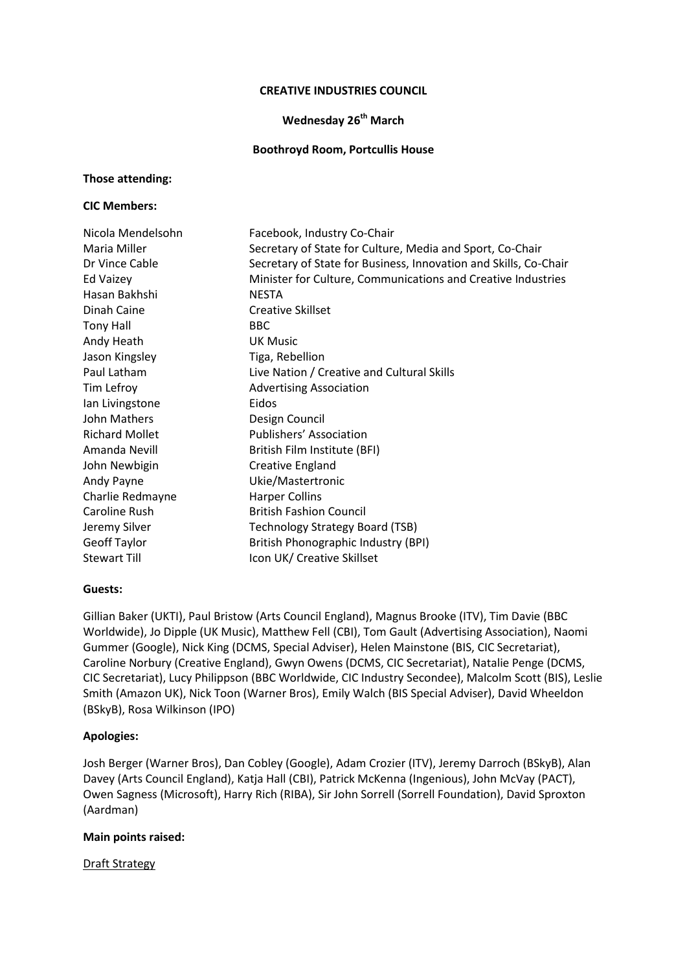### **CREATIVE INDUSTRIES COUNCIL**

## **Wednesday 26th March**

### **Boothroyd Room, Portcullis House**

### **Those attending:**

### **CIC Members:**

| Nicola Mendelsohn     | Facebook, Industry Co-Chair                                      |
|-----------------------|------------------------------------------------------------------|
| Maria Miller          | Secretary of State for Culture, Media and Sport, Co-Chair        |
| Dr Vince Cable        | Secretary of State for Business, Innovation and Skills, Co-Chair |
| <b>Ed Vaizey</b>      | Minister for Culture, Communications and Creative Industries     |
| Hasan Bakhshi         | <b>NESTA</b>                                                     |
| Dinah Caine           | <b>Creative Skillset</b>                                         |
| <b>Tony Hall</b>      | <b>BBC</b>                                                       |
| Andy Heath            | <b>UK Music</b>                                                  |
| Jason Kingsley        | Tiga, Rebellion                                                  |
| Paul Latham           | Live Nation / Creative and Cultural Skills                       |
| Tim Lefroy            | <b>Advertising Association</b>                                   |
| Ian Livingstone       | Eidos                                                            |
| John Mathers          | Design Council                                                   |
| <b>Richard Mollet</b> | Publishers' Association                                          |
| Amanda Nevill         | British Film Institute (BFI)                                     |
| John Newbigin         | Creative England                                                 |
| Andy Payne            | Ukie/Mastertronic                                                |
| Charlie Redmayne      | <b>Harper Collins</b>                                            |
| Caroline Rush         | <b>British Fashion Council</b>                                   |
| Jeremy Silver         | <b>Technology Strategy Board (TSB)</b>                           |
| <b>Geoff Taylor</b>   | British Phonographic Industry (BPI)                              |
| <b>Stewart Till</b>   | Icon UK/ Creative Skillset                                       |

## **Guests:**

Gillian Baker (UKTI), Paul Bristow (Arts Council England), Magnus Brooke (ITV), Tim Davie (BBC Worldwide), Jo Dipple (UK Music), Matthew Fell (CBI), Tom Gault (Advertising Association), Naomi Gummer (Google), Nick King (DCMS, Special Adviser), Helen Mainstone (BIS, CIC Secretariat), Caroline Norbury (Creative England), Gwyn Owens (DCMS, CIC Secretariat), Natalie Penge (DCMS, CIC Secretariat), Lucy Philippson (BBC Worldwide, CIC Industry Secondee), Malcolm Scott (BIS), Leslie Smith (Amazon UK), Nick Toon (Warner Bros), Emily Walch (BIS Special Adviser), David Wheeldon (BSkyB), Rosa Wilkinson (IPO)

## **Apologies:**

Josh Berger (Warner Bros), Dan Cobley (Google), Adam Crozier (ITV), Jeremy Darroch (BSkyB), Alan Davey (Arts Council England), Katja Hall (CBI), Patrick McKenna (Ingenious), John McVay (PACT), Owen Sagness (Microsoft), Harry Rich (RIBA), Sir John Sorrell (Sorrell Foundation), David Sproxton (Aardman)

# **Main points raised:**

Draft Strategy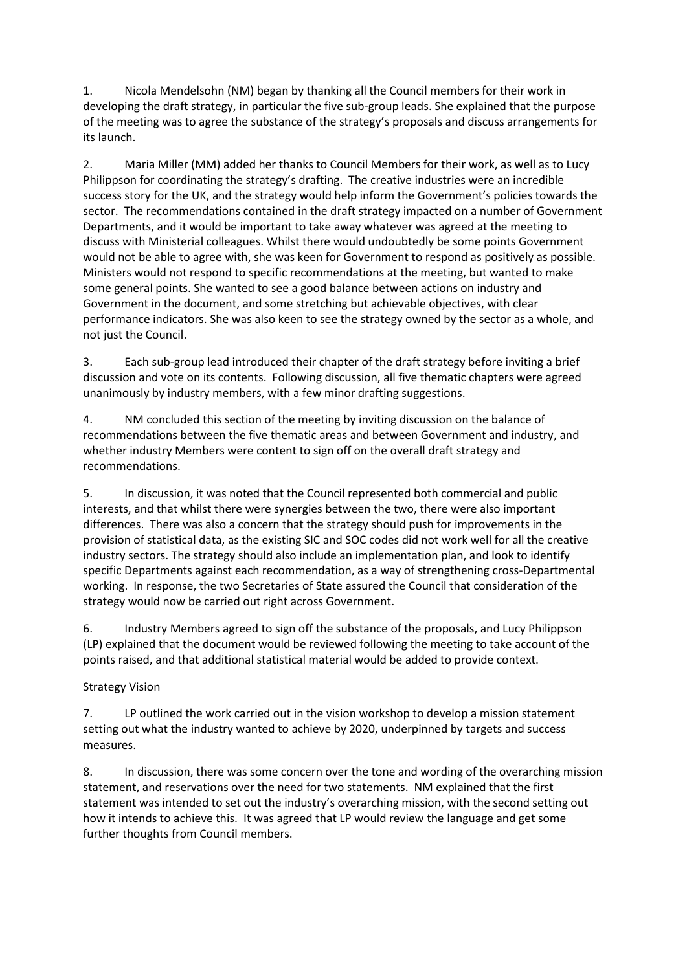1. Nicola Mendelsohn (NM) began by thanking all the Council members for their work in developing the draft strategy, in particular the five sub-group leads. She explained that the purpose of the meeting was to agree the substance of the strategy's proposals and discuss arrangements for its launch.

2. Maria Miller (MM) added her thanks to Council Members for their work, as well as to Lucy Philippson for coordinating the strategy's drafting. The creative industries were an incredible success story for the UK, and the strategy would help inform the Government's policies towards the sector. The recommendations contained in the draft strategy impacted on a number of Government Departments, and it would be important to take away whatever was agreed at the meeting to discuss with Ministerial colleagues. Whilst there would undoubtedly be some points Government would not be able to agree with, she was keen for Government to respond as positively as possible. Ministers would not respond to specific recommendations at the meeting, but wanted to make some general points. She wanted to see a good balance between actions on industry and Government in the document, and some stretching but achievable objectives, with clear performance indicators. She was also keen to see the strategy owned by the sector as a whole, and not just the Council.

3. Each sub-group lead introduced their chapter of the draft strategy before inviting a brief discussion and vote on its contents. Following discussion, all five thematic chapters were agreed unanimously by industry members, with a few minor drafting suggestions.

4. NM concluded this section of the meeting by inviting discussion on the balance of recommendations between the five thematic areas and between Government and industry, and whether industry Members were content to sign off on the overall draft strategy and recommendations.

5. In discussion, it was noted that the Council represented both commercial and public interests, and that whilst there were synergies between the two, there were also important differences. There was also a concern that the strategy should push for improvements in the provision of statistical data, as the existing SIC and SOC codes did not work well for all the creative industry sectors. The strategy should also include an implementation plan, and look to identify specific Departments against each recommendation, as a way of strengthening cross-Departmental working. In response, the two Secretaries of State assured the Council that consideration of the strategy would now be carried out right across Government.

6. Industry Members agreed to sign off the substance of the proposals, and Lucy Philippson (LP) explained that the document would be reviewed following the meeting to take account of the points raised, and that additional statistical material would be added to provide context.

# **Strategy Vision**

7. LP outlined the work carried out in the vision workshop to develop a mission statement setting out what the industry wanted to achieve by 2020, underpinned by targets and success measures.

8. In discussion, there was some concern over the tone and wording of the overarching mission statement, and reservations over the need for two statements. NM explained that the first statement was intended to set out the industry's overarching mission, with the second setting out how it intends to achieve this. It was agreed that LP would review the language and get some further thoughts from Council members.